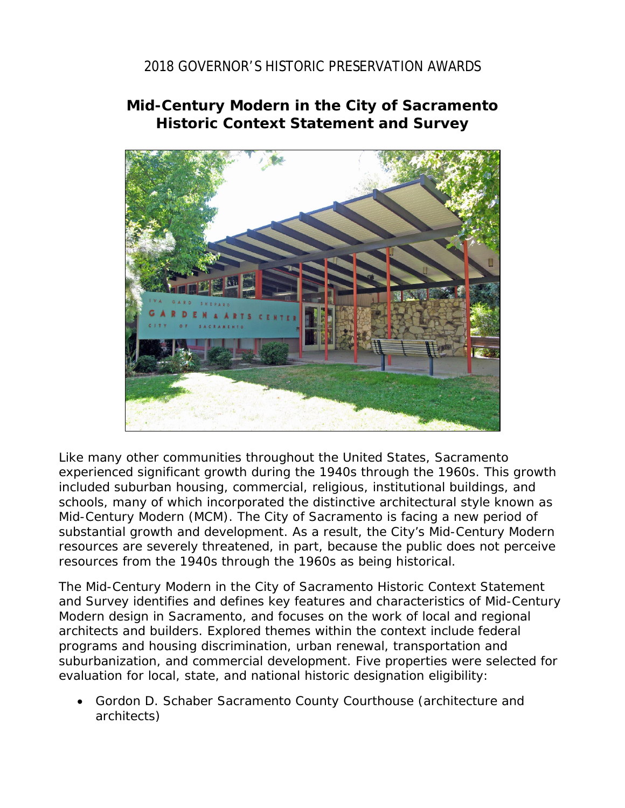## 2018 GOVERNOR'S HISTORIC PRESERVATION AWARDS

## **Mid-Century Modern in the City of Sacramento Historic Context Statement and Survey**



Like many other communities throughout the United States, Sacramento experienced significant growth during the 1940s through the 1960s. This growth included suburban housing, commercial, religious, institutional buildings, and schools, many of which incorporated the distinctive architectural style known as Mid-Century Modern (MCM). The City of Sacramento is facing a new period of substantial growth and development. As a result, the City's Mid-Century Modern resources are severely threatened, in part, because the public does not perceive resources from the 1940s through the 1960s as being historical.

The *Mid-Century Modern in the City of Sacramento Historic Context Statement and Survey* identifies and defines key features and characteristics of Mid-Century Modern design in Sacramento, and focuses on the work of local and regional architects and builders. Explored themes within the context include federal programs and housing discrimination, urban renewal, transportation and suburbanization, and commercial development. Five properties were selected for evaluation for local, state, and national historic designation eligibility:

• Gordon D. Schaber Sacramento County Courthouse (architecture and architects)